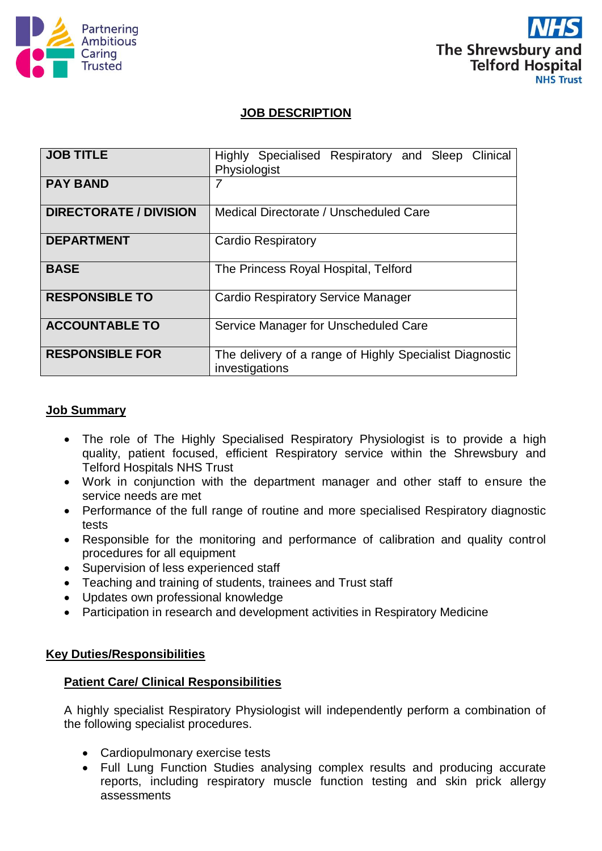



## **JOB DESCRIPTION**

| <b>JOB TITLE</b>              | Highly Specialised Respiratory and Sleep Clinical<br>Physiologist         |
|-------------------------------|---------------------------------------------------------------------------|
| <b>PAY BAND</b>               |                                                                           |
| <b>DIRECTORATE / DIVISION</b> | Medical Directorate / Unscheduled Care                                    |
| <b>DEPARTMENT</b>             | <b>Cardio Respiratory</b>                                                 |
| <b>BASE</b>                   | The Princess Royal Hospital, Telford                                      |
| <b>RESPONSIBLE TO</b>         | <b>Cardio Respiratory Service Manager</b>                                 |
| <b>ACCOUNTABLE TO</b>         | Service Manager for Unscheduled Care                                      |
| <b>RESPONSIBLE FOR</b>        | The delivery of a range of Highly Specialist Diagnostic<br>investigations |

### **Job Summary**

- The role of The Highly Specialised Respiratory Physiologist is to provide a high quality, patient focused, efficient Respiratory service within the Shrewsbury and Telford Hospitals NHS Trust
- Work in conjunction with the department manager and other staff to ensure the service needs are met
- Performance of the full range of routine and more specialised Respiratory diagnostic tests
- Responsible for the monitoring and performance of calibration and quality control procedures for all equipment
- Supervision of less experienced staff
- Teaching and training of students, trainees and Trust staff
- Updates own professional knowledge
- Participation in research and development activities in Respiratory Medicine

### **Key Duties/Responsibilities**

### **Patient Care/ Clinical Responsibilities**

A highly specialist Respiratory Physiologist will independently perform a combination of the following specialist procedures.

- Cardiopulmonary exercise tests
- Full Lung Function Studies analysing complex results and producing accurate reports, including respiratory muscle function testing and skin prick allergy assessments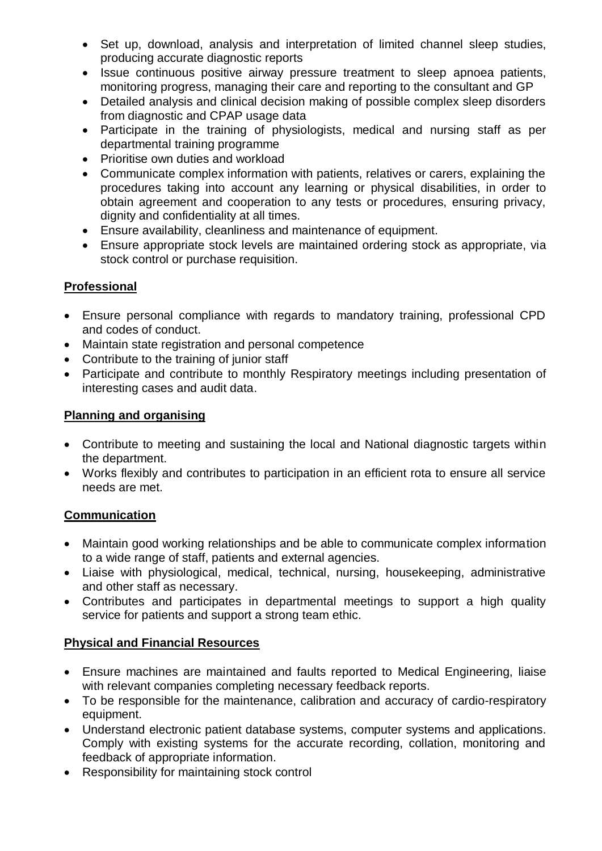- Set up, download, analysis and interpretation of limited channel sleep studies, producing accurate diagnostic reports
- Issue continuous positive airway pressure treatment to sleep apnoea patients, monitoring progress, managing their care and reporting to the consultant and GP
- Detailed analysis and clinical decision making of possible complex sleep disorders from diagnostic and CPAP usage data
- Participate in the training of physiologists, medical and nursing staff as per departmental training programme
- Prioritise own duties and workload
- Communicate complex information with patients, relatives or carers, explaining the procedures taking into account any learning or physical disabilities, in order to obtain agreement and cooperation to any tests or procedures, ensuring privacy, dignity and confidentiality at all times.
- Ensure availability, cleanliness and maintenance of equipment.
- Ensure appropriate stock levels are maintained ordering stock as appropriate, via stock control or purchase requisition.

# **Professional**

- Ensure personal compliance with regards to mandatory training, professional CPD and codes of conduct.
- Maintain state registration and personal competence
- Contribute to the training of junior staff
- Participate and contribute to monthly Respiratory meetings including presentation of interesting cases and audit data.

# **Planning and organising**

- Contribute to meeting and sustaining the local and National diagnostic targets within the department.
- Works flexibly and contributes to participation in an efficient rota to ensure all service needs are met.

## **Communication**

- Maintain good working relationships and be able to communicate complex information to a wide range of staff, patients and external agencies.
- Liaise with physiological, medical, technical, nursing, housekeeping, administrative and other staff as necessary.
- Contributes and participates in departmental meetings to support a high quality service for patients and support a strong team ethic.

## **Physical and Financial Resources**

- Ensure machines are maintained and faults reported to Medical Engineering, liaise with relevant companies completing necessary feedback reports.
- To be responsible for the maintenance, calibration and accuracy of cardio-respiratory equipment.
- Understand electronic patient database systems, computer systems and applications. Comply with existing systems for the accurate recording, collation, monitoring and feedback of appropriate information.
- Responsibility for maintaining stock control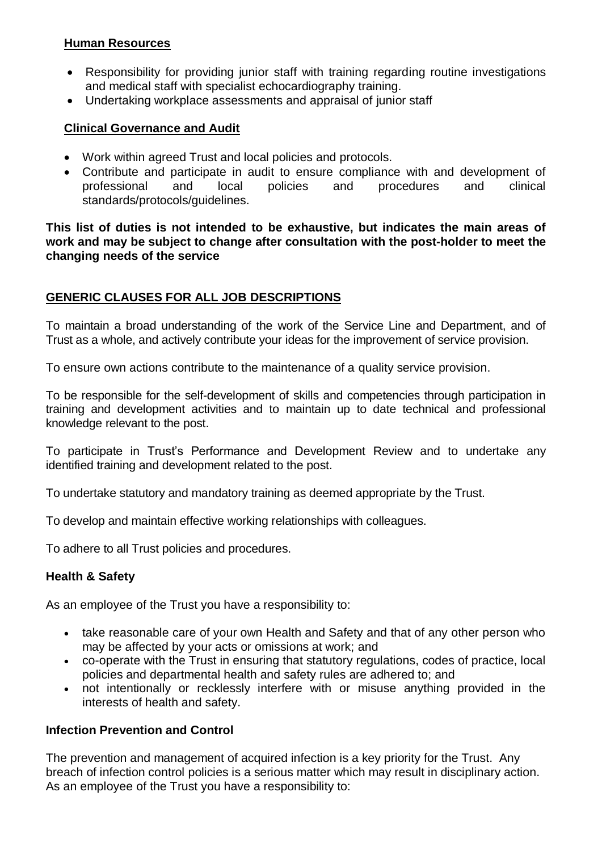## **Human Resources**

- Responsibility for providing junior staff with training regarding routine investigations and medical staff with specialist echocardiography training.
- Undertaking workplace assessments and appraisal of junior staff

## **Clinical Governance and Audit**

- Work within agreed Trust and local policies and protocols.
- Contribute and participate in audit to ensure compliance with and development of professional and local policies and procedures and clinical standards/protocols/guidelines.

**This list of duties is not intended to be exhaustive, but indicates the main areas of work and may be subject to change after consultation with the post-holder to meet the changing needs of the service**

## **GENERIC CLAUSES FOR ALL JOB DESCRIPTIONS**

To maintain a broad understanding of the work of the Service Line and Department, and of Trust as a whole, and actively contribute your ideas for the improvement of service provision.

To ensure own actions contribute to the maintenance of a quality service provision.

To be responsible for the self-development of skills and competencies through participation in training and development activities and to maintain up to date technical and professional knowledge relevant to the post.

To participate in Trust's Performance and Development Review and to undertake any identified training and development related to the post.

To undertake statutory and mandatory training as deemed appropriate by the Trust.

To develop and maintain effective working relationships with colleagues.

To adhere to all Trust policies and procedures.

### **Health & Safety**

As an employee of the Trust you have a responsibility to:

- take reasonable care of your own Health and Safety and that of any other person who may be affected by your acts or omissions at work; and
- co-operate with the Trust in ensuring that statutory regulations, codes of practice, local policies and departmental health and safety rules are adhered to; and
- not intentionally or recklessly interfere with or misuse anything provided in the interests of health and safety.

## **Infection Prevention and Control**

The prevention and management of acquired infection is a key priority for the Trust. Any breach of infection control policies is a serious matter which may result in disciplinary action. As an employee of the Trust you have a responsibility to: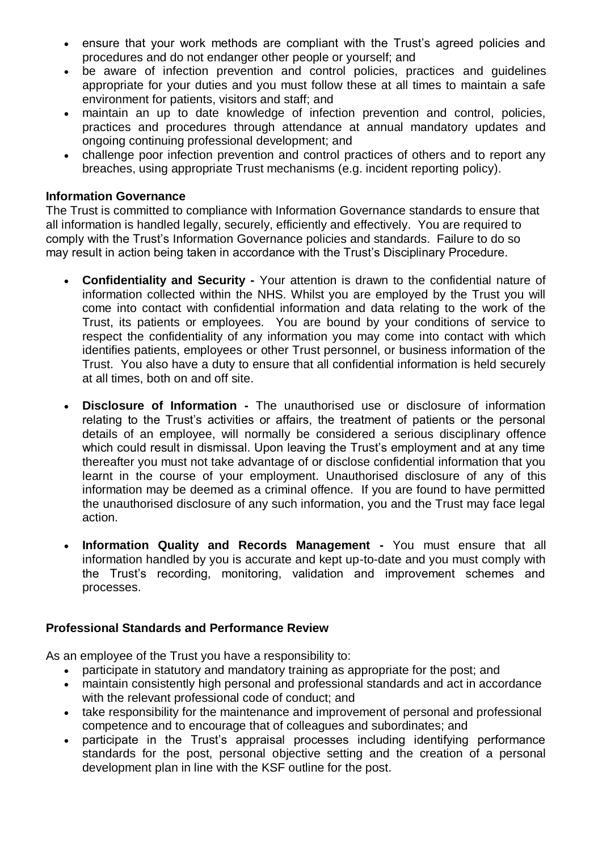- ensure that your work methods are compliant with the Trust's agreed policies and procedures and do not endanger other people or yourself; and
- be aware of infection prevention and control policies, practices and guidelines appropriate for your duties and you must follow these at all times to maintain a safe environment for patients, visitors and staff; and
- maintain an up to date knowledge of infection prevention and control, policies, practices and procedures through attendance at annual mandatory updates and ongoing continuing professional development; and
- challenge poor infection prevention and control practices of others and to report any breaches, using appropriate Trust mechanisms (e.g. incident reporting policy).

### **Information Governance**

The Trust is committed to compliance with Information Governance standards to ensure that all information is handled legally, securely, efficiently and effectively. You are required to comply with the Trust's Information Governance policies and standards. Failure to do so may result in action being taken in accordance with the Trust's Disciplinary Procedure.

- **Confidentiality and Security -** Your attention is drawn to the confidential nature of information collected within the NHS. Whilst you are employed by the Trust you will come into contact with confidential information and data relating to the work of the Trust, its patients or employees. You are bound by your conditions of service to respect the confidentiality of any information you may come into contact with which identifies patients, employees or other Trust personnel, or business information of the Trust. You also have a duty to ensure that all confidential information is held securely at all times, both on and off site.
- **Disclosure of Information -** The unauthorised use or disclosure of information relating to the Trust's activities or affairs, the treatment of patients or the personal details of an employee, will normally be considered a serious disciplinary offence which could result in dismissal. Upon leaving the Trust's employment and at any time thereafter you must not take advantage of or disclose confidential information that you learnt in the course of your employment. Unauthorised disclosure of any of this information may be deemed as a criminal offence. If you are found to have permitted the unauthorised disclosure of any such information, you and the Trust may face legal action.
- **Information Quality and Records Management -** You must ensure that all information handled by you is accurate and kept up-to-date and you must comply with the Trust's recording, monitoring, validation and improvement schemes and processes.

### **Professional Standards and Performance Review**

As an employee of the Trust you have a responsibility to:

- participate in statutory and mandatory training as appropriate for the post; and
- maintain consistently high personal and professional standards and act in accordance with the relevant professional code of conduct; and
- take responsibility for the maintenance and improvement of personal and professional competence and to encourage that of colleagues and subordinates; and
- participate in the Trust's appraisal processes including identifying performance standards for the post, personal objective setting and the creation of a personal development plan in line with the KSF outline for the post.